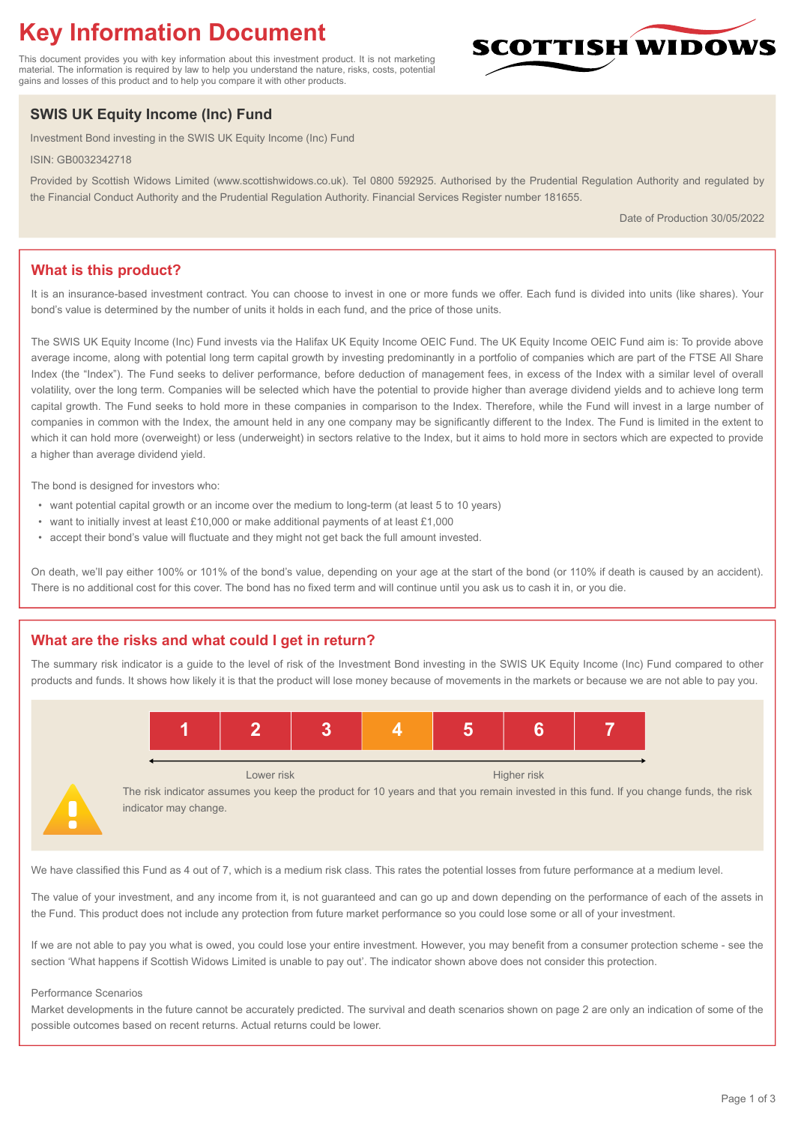# **Key Information Document**

This document provides you with key information about this investment product. It is not marketing material. The information is required by law to help you understand the nature, risks, costs, potential gains and losses of this product and to help you compare it with other products.

# **SWIS UK Equity Income (Inc) Fund**

Investment Bond investing in the SWIS UK Equity Income (Inc) Fund

ISIN: GB0032342718

Provided by Scottish Widows Limited (www.scottishwidows.co.uk). Tel 0800 592925. Authorised by the Prudential Regulation Authority and regulated by the Financial Conduct Authority and the Prudential Regulation Authority. Financial Services Register number 181655.

Date of Production 30/05/2022

**SCOTTISH WIDOW** 

# **What is this product?**

It is an insurance-based investment contract. You can choose to invest in one or more funds we offer. Each fund is divided into units (like shares). Your bond's value is determined by the number of units it holds in each fund, and the price of those units.

The SWIS UK Equity Income (Inc) Fund invests via the Halifax UK Equity Income OEIC Fund. The UK Equity Income OEIC Fund aim is: To provide above average income, along with potential long term capital growth by investing predominantly in a portfolio of companies which are part of the FTSE All Share Index (the "Index"). The Fund seeks to deliver performance, before deduction of management fees, in excess of the Index with a similar level of overall volatility, over the long term. Companies will be selected which have the potential to provide higher than average dividend yields and to achieve long term capital growth. The Fund seeks to hold more in these companies in comparison to the Index. Therefore, while the Fund will invest in a large number of companies in common with the Index, the amount held in any one company may be significantly different to the Index. The Fund is limited in the extent to which it can hold more (overweight) or less (underweight) in sectors relative to the Index, but it aims to hold more in sectors which are expected to provide a higher than average dividend yield.

The bond is designed for investors who:

- want potential capital growth or an income over the medium to long-term (at least 5 to 10 years)
- want to initially invest at least £10,000 or make additional payments of at least £1,000
- accept their bond's value will fluctuate and they might not get back the full amount invested.

On death, we'll pay either 100% or 101% of the bond's value, depending on your age at the start of the bond (or 110% if death is caused by an accident). There is no additional cost for this cover. The bond has no fixed term and will continue until you ask us to cash it in, or you die.

# **What are the risks and what could I get in return?**

The summary risk indicator is a guide to the level of risk of the Investment Bond investing in the SWIS UK Equity Income (Inc) Fund compared to other products and funds. It shows how likely it is that the product will lose money because of movements in the markets or because we are not able to pay you.



The risk indicator assumes you keep the product for 10 years and that you remain invested in this fund. If you change funds, the risk indicator may change.

We have classified this Fund as 4 out of 7, which is a medium risk class. This rates the potential losses from future performance at a medium level.

The value of your investment, and any income from it, is not guaranteed and can go up and down depending on the performance of each of the assets in the Fund. This product does not include any protection from future market performance so you could lose some or all of your investment.

If we are not able to pay you what is owed, you could lose your entire investment. However, you may benefit from a consumer protection scheme - see the section 'What happens if Scottish Widows Limited is unable to pay out'. The indicator shown above does not consider this protection.

#### Performance Scenarios

Market developments in the future cannot be accurately predicted. The survival and death scenarios shown on page 2 are only an indication of some of the possible outcomes based on recent returns. Actual returns could be lower.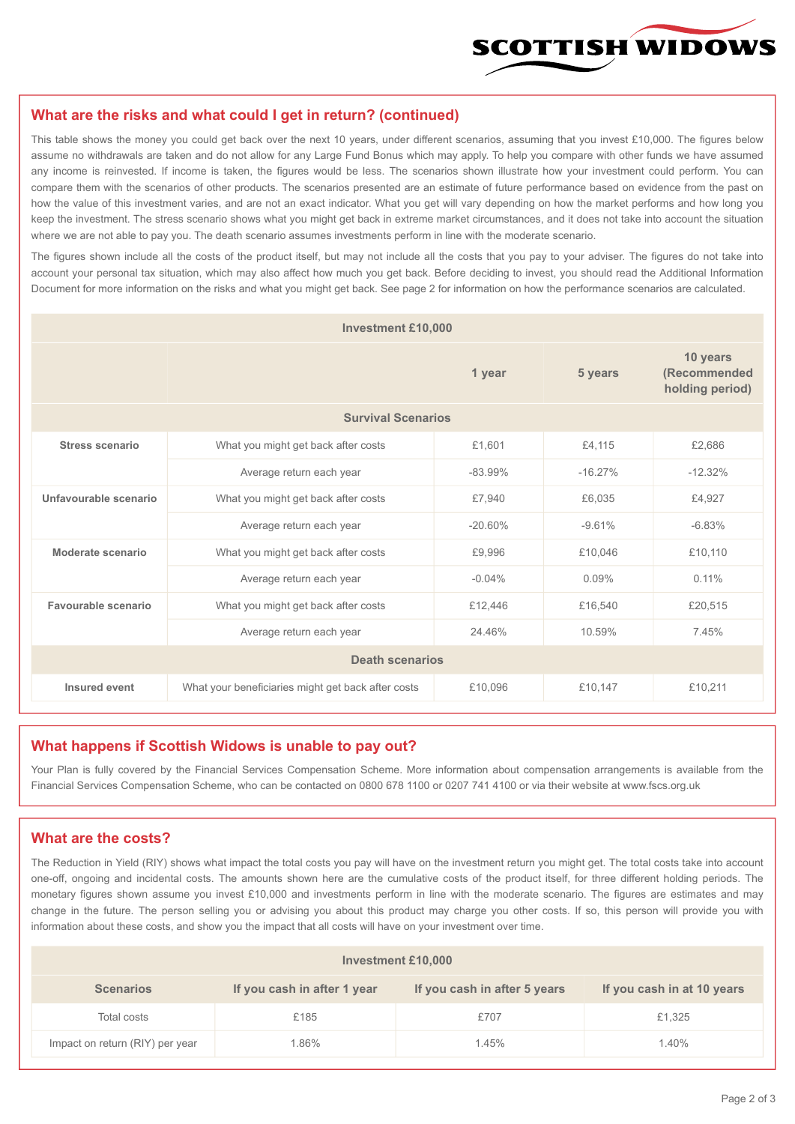

### **What are the risks and what could I get in return? (continued)**

This table shows the money you could get back over the next 10 years, under different scenarios, assuming that you invest £10,000. The figures below assume no withdrawals are taken and do not allow for any Large Fund Bonus which may apply. To help you compare with other funds we have assumed any income is reinvested. If income is taken, the figures would be less. The scenarios shown illustrate how your investment could perform. You can compare them with the scenarios of other products. The scenarios presented are an estimate of future performance based on evidence from the past on how the value of this investment varies, and are not an exact indicator. What you get will vary depending on how the market performs and how long you keep the investment. The stress scenario shows what you might get back in extreme market circumstances, and it does not take into account the situation where we are not able to pay you. The death scenario assumes investments perform in line with the moderate scenario.

The figures shown include all the costs of the product itself, but may not include all the costs that you pay to your adviser. The figures do not take into account your personal tax situation, which may also affect how much you get back. Before deciding to invest, you should read the Additional Information Document for more information on the risks and what you might get back. See page 2 for information on how the performance scenarios are calculated.

| <b>Investment £10,000</b> |                                                    |            |           |                                             |  |  |
|---------------------------|----------------------------------------------------|------------|-----------|---------------------------------------------|--|--|
|                           | 1 year                                             |            | 5 years   | 10 years<br>(Recommended<br>holding period) |  |  |
| <b>Survival Scenarios</b> |                                                    |            |           |                                             |  |  |
| <b>Stress scenario</b>    | What you might get back after costs<br>£1,601      |            | £4,115    | £2,686                                      |  |  |
|                           | Average return each year<br>$-83.99%$              |            | $-16.27%$ | $-12.32%$                                   |  |  |
| Unfavourable scenario     | What you might get back after costs<br>£7,940      |            | £6,035    | £4,927                                      |  |  |
|                           | Average return each year                           | $-20.60\%$ | $-9.61%$  | $-6.83%$                                    |  |  |
| Moderate scenario         | What you might get back after costs                | £9,996     | £10,046   | £10,110                                     |  |  |
|                           | Average return each year                           | $-0.04%$   | $0.09\%$  | $0.11\%$                                    |  |  |
| Favourable scenario       | What you might get back after costs                | £12,446    | £16,540   | £20,515                                     |  |  |
| Average return each year  |                                                    | 24.46%     | 10.59%    | 7.45%                                       |  |  |
| <b>Death scenarios</b>    |                                                    |            |           |                                             |  |  |
| Insured event             | What your beneficiaries might get back after costs | £10,096    | £10,147   | £10,211                                     |  |  |

#### **What happens if Scottish Widows is unable to pay out?**

Your Plan is fully covered by the Financial Services Compensation Scheme. More information about compensation arrangements is available from the Financial Services Compensation Scheme, who can be contacted on 0800 678 1100 or 0207 741 4100 or via their website at www.fscs.org.uk

#### **What are the costs?**

The Reduction in Yield (RIY) shows what impact the total costs you pay will have on the investment return you might get. The total costs take into account one-off, ongoing and incidental costs. The amounts shown here are the cumulative costs of the product itself, for three different holding periods. The monetary figures shown assume you invest £10,000 and investments perform in line with the moderate scenario. The figures are estimates and may change in the future. The person selling you or advising you about this product may charge you other costs. If so, this person will provide you with information about these costs, and show you the impact that all costs will have on your investment over time.

| Investment £10,000              |                             |                              |                            |  |  |  |
|---------------------------------|-----------------------------|------------------------------|----------------------------|--|--|--|
| <b>Scenarios</b>                | If you cash in after 1 year | If you cash in after 5 years | If you cash in at 10 years |  |  |  |
| Total costs                     | £185                        | £707                         | £1,325                     |  |  |  |
| Impact on return (RIY) per year | .86%                        | 1.45%                        | 1.40%                      |  |  |  |